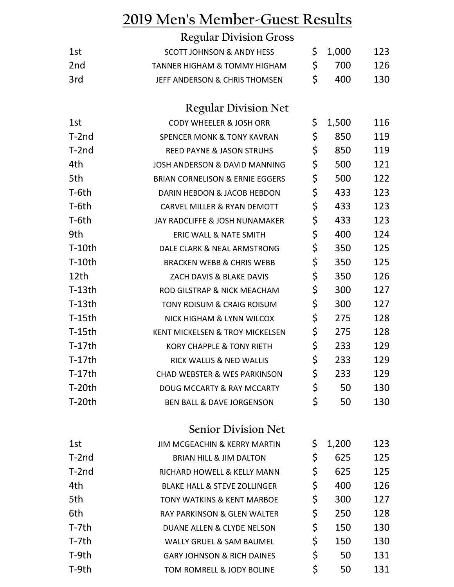## **2019 Men's Member-Guest Results**

|                 | <b>Regular Division Gross</b>              |     |       |     |
|-----------------|--------------------------------------------|-----|-------|-----|
| 1st             | <b>SCOTT JOHNSON &amp; ANDY HESS</b>       | \$. | 1,000 | 123 |
| 2 <sub>nd</sub> | <b>TANNER HIGHAM &amp; TOMMY HIGHAM</b>    | \$  | 700   | 126 |
| 3rd             | JEFF ANDERSON & CHRIS THOMSEN              | \$  | 400   | 130 |
|                 | <b>Regular Division Net</b>                |     |       |     |
| 1st             | <b>CODY WHEELER &amp; JOSH ORR</b>         | \$  | 1,500 | 116 |
| $T-2nd$         | <b>SPENCER MONK &amp; TONY KAVRAN</b>      | \$  | 850   | 119 |
| $T-2nd$         | <b>REED PAYNE &amp; JASON STRUHS</b>       | \$  | 850   | 119 |
| 4th             | <b>JOSH ANDERSON &amp; DAVID MANNING</b>   | \$  | 500   | 121 |
| 5th             | <b>BRIAN CORNELISON &amp; ERNIE EGGERS</b> | \$  | 500   | 122 |
| T-6th           | DARIN HEBDON & JACOB HEBDON                | \$  | 433   | 123 |
| T-6th           | <b>CARVEL MILLER &amp; RYAN DEMOTT</b>     | \$  | 433   | 123 |
| T-6th           | JAY RADCLIFFE & JOSH NUNAMAKER             | \$  | 433   | 123 |
| 9th             | <b>ERIC WALL &amp; NATE SMITH</b>          | \$  | 400   | 124 |
| $T-10$ th       | DALE CLARK & NEAL ARMSTRONG                | \$  | 350   | 125 |
| $T-10th$        | <b>BRACKEN WEBB &amp; CHRIS WEBB</b>       | \$  | 350   | 125 |
| 12th            | ZACH DAVIS & BLAKE DAVIS                   | \$  | 350   | 126 |
| $T-13th$        | ROD GILSTRAP & NICK MEACHAM                | \$  | 300   | 127 |
| $T-13th$        | TONY ROISUM & CRAIG ROISUM                 | \$  | 300   | 127 |
| $T-15th$        | NICK HIGHAM & LYNN WILCOX                  | \$  | 275   | 128 |
| $T-15th$        | <b>KENT MICKELSEN &amp; TROY MICKELSEN</b> | \$  | 275   | 128 |
| $T-17th$        | <b>KORY CHAPPLE &amp; TONY RIETH</b>       | \$  | 233   | 129 |
| $T-17th$        | RICK WALLIS & NED WALLIS                   | \$  | 233   | 129 |
| $T-17th$        | CHAD WEBSTER & WES PARKINSON               | \$  | 233   | 129 |
| $T-20th$        | DOUG MCCARTY & RAY MCCARTY                 | \$  | 50    | 130 |
| $T-20th$        | <b>BEN BALL &amp; DAVE JORGENSON</b>       | \$  | 50    | 130 |
|                 | <b>Senior Division Net</b>                 |     |       |     |
| 1st             | JIM MCGEACHIN & KERRY MARTIN               | \$  | 1,200 | 123 |
| $T-2nd$         | BRIAN HILL & JIM DALTON                    | \$  | 625   | 125 |
| T-2nd           | RICHARD HOWELL & KELLY MANN                | \$  | 625   | 125 |
| 4th             | <b>BLAKE HALL &amp; STEVE ZOLLINGER</b>    | \$  | 400   | 126 |
| 5th             | TONY WATKINS & KENT MARBOE                 | \$  | 300   | 127 |
| 6th             | RAY PARKINSON & GLEN WALTER                | \$  | 250   | 128 |
| T-7th           | DUANE ALLEN & CLYDE NELSON                 | \$  | 150   | 130 |
| T-7th           | WALLY GRUEL & SAM BAUMEL                   | \$  | 150   | 130 |
| T-9th           | <b>GARY JOHNSON &amp; RICH DAINES</b>      | \$  | 50    | 131 |
| T-9th           | TOM ROMRELL & JODY BOLINE                  | \$  | 50    | 131 |